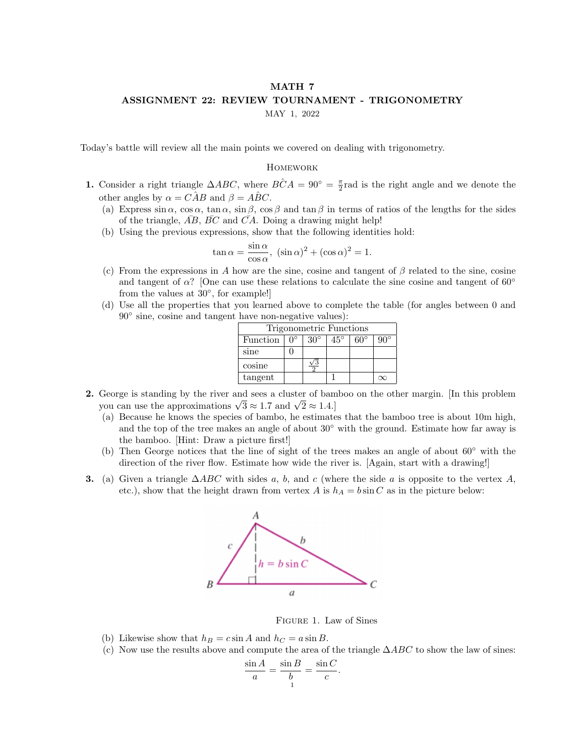## MATH 7 ASSIGNMENT 22: REVIEW TOURNAMENT - TRIGONOMETRY

MAY 1, 2022

Today's battle will review all the main points we covered on dealing with trigonometry.

## **HOMEWORK**

- 1. Consider a right triangle  $\triangle ABC$ , where  $\angle BCA = 90^\circ = \frac{\pi}{2}$  rad is the right angle and we denote the other angles by  $\alpha = C\hat{A}B$  and  $\beta = \hat{A}BC$ .
	- (a) Express  $\sin \alpha$ ,  $\cos \alpha$ ,  $\tan \alpha$ ,  $\sin \beta$ ,  $\cos \beta$  and  $\tan \beta$  in terms of ratios of the lengths for the sides of the triangle,  $\overline{AB}$ ,  $\overline{BC}$  and  $\overline{CA}$ . Doing a drawing might help!
	- (b) Using the previous expressions, show that the following identities hold:

$$
\tan \alpha = \frac{\sin \alpha}{\cos \alpha}, \ (\sin \alpha)^2 + (\cos \alpha)^2 = 1.
$$

- (c) From the expressions in A how are the sine, cosine and tangent of  $\beta$  related to the sine, cosine and tangent of  $\alpha$ ? [One can use these relations to calculate the sine cosine and tangent of 60° from the values at  $30^{\circ}$ , for example!
- (d) Use all the properties that you learned above to complete the table (for angles between 0 and 90◦ sine, cosine and tangent have non-negative values):

| Trigonometric Functions |  |            |              |              |     |  |  |  |  |
|-------------------------|--|------------|--------------|--------------|-----|--|--|--|--|
| Function                |  | $30^\circ$ | $45^{\circ}$ | $60^{\circ}$ | າ∪∘ |  |  |  |  |
| sine                    |  |            |              |              |     |  |  |  |  |
| cosine                  |  |            |              |              |     |  |  |  |  |
| tangent                 |  |            |              |              |     |  |  |  |  |

- 2. George is standing by the river and sees a cluster of bamboo on the other margin. [In this problem George is standing by the river and sees a cluster of ball<br>you can use the approximations  $\sqrt{3} \approx 1.7$  and  $\sqrt{2} \approx 1.4$ .]
	- (a) Because he knows the species of bambo, he estimates that the bamboo tree is about 10m high, and the top of the tree makes an angle of about  $30°$  with the ground. Estimate how far away is the bamboo. [Hint: Draw a picture first!]
	- (b) Then George notices that the line of sight of the trees makes an angle of about 60◦ with the direction of the river flow. Estimate how wide the river is. [Again, start with a drawing!]
- **3.** (a) Given a triangle  $\triangle ABC$  with sides a, b, and c (where the side a is opposite to the vertex A, etc.), show that the height drawn from vertex A is  $h_A = b \sin C$  as in the picture below:



Figure 1. Law of Sines

.

- (b) Likewise show that  $h_B = c \sin A$  and  $h_C = a \sin B$ .
- (c) Now use the results above and compute the area of the triangle  $\Delta ABC$  to show the law of sines:

$$
\frac{\sin A}{a} = \frac{\sin B}{b} = \frac{\sin C}{c}
$$